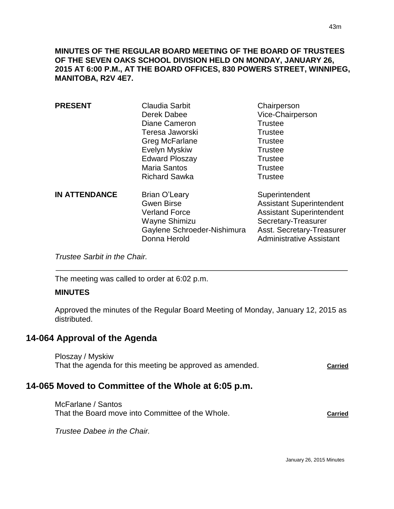**MINUTES OF THE REGULAR BOARD MEETING OF THE BOARD OF TRUSTEES OF THE SEVEN OAKS SCHOOL DIVISION HELD ON MONDAY, JANUARY 26, 2015 AT 6:00 P.M., AT THE BOARD OFFICES, 830 POWERS STREET, WINNIPEG, MANITOBA, R2V 4E7.**

| <b>PRESENT</b>       | Claudia Sarbit<br>Derek Dabee<br>Diane Cameron<br>Teresa Jaworski<br>Greg McFarlane<br><b>Evelyn Myskiw</b><br><b>Edward Ploszay</b><br><b>Maria Santos</b><br><b>Richard Sawka</b> | Chairperson<br>Vice-Chairperson<br><b>Trustee</b><br><b>Trustee</b><br><b>Trustee</b><br><b>Trustee</b><br><b>Trustee</b><br><b>Trustee</b><br><b>Trustee</b>               |
|----------------------|-------------------------------------------------------------------------------------------------------------------------------------------------------------------------------------|-----------------------------------------------------------------------------------------------------------------------------------------------------------------------------|
| <b>IN ATTENDANCE</b> | <b>Brian O'Leary</b><br><b>Gwen Birse</b><br><b>Verland Force</b><br>Wayne Shimizu<br>Gaylene Schroeder-Nishimura<br>Donna Herold                                                   | Superintendent<br><b>Assistant Superintendent</b><br><b>Assistant Superintendent</b><br>Secretary-Treasurer<br>Asst. Secretary-Treasurer<br><b>Administrative Assistant</b> |

*Trustee Sarbit in the Chair.* 

The meeting was called to order at 6:02 p.m.

#### **MINUTES**

 $\overline{a}$ 

Approved the minutes of the Regular Board Meeting of Monday, January 12, 2015 as distributed.

# **14-064 Approval of the Agenda**

Ploszay / Myskiw That the agenda for this meeting be approved as amended. **Carried** 

# **14-065 Moved to Committee of the Whole at 6:05 p.m.**

McFarlane / Santos That the Board move into Committee of the Whole. **Carried** 

*Trustee Dabee in the Chair.*

January 26, 2015 Minutes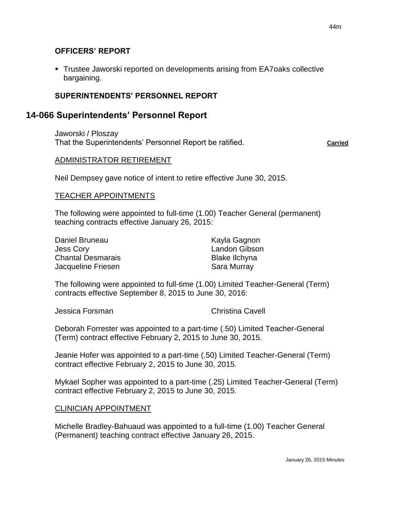#### **OFFICERS' REPORT**

 Trustee Jaworski reported on developments arising from EA7oaks collective bargaining.

#### **SUPERINTENDENTS' PERSONNEL REPORT**

## **14-066 Superintendents' Personnel Report**

Jaworski / Ploszay That the Superintendents' Personnel Report be ratified. **Carried** 

#### ADMINISTRATOR RETIREMENT

Neil Dempsey gave notice of intent to retire effective June 30, 2015.

#### TEACHER APPOINTMENTS

The following were appointed to full-time (1.00) Teacher General (permanent) teaching contracts effective January 26, 2015:

| Daniel Bruneau           |  |  |
|--------------------------|--|--|
| <b>Jess Cory</b>         |  |  |
| <b>Chantal Desmarais</b> |  |  |
| Jacqueline Friesen       |  |  |

Kayla Gagnon Landon Gibson Blake Ilchyna Sara Murray

The following were appointed to full-time (1.00) Limited Teacher-General (Term) contracts effective September 8, 2015 to June 30, 2016:

Jessica Forsman Christina Cavell

Deborah Forrester was appointed to a part-time (.50) Limited Teacher-General (Term) contract effective February 2, 2015 to June 30, 2015.

Jeanie Hofer was appointed to a part-time (.50) Limited Teacher-General (Term) contract effective February 2, 2015 to June 30, 2015.

Mykael Sopher was appointed to a part-time (.25) Limited Teacher-General (Term) contract effective February 2, 2015 to June 30, 2015.

#### CLINICIAN APPOINTMENT

Michelle Bradley-Bahuaud was appointed to a full-time (1.00) Teacher General (Permanent) teaching contract effective January 26, 2015.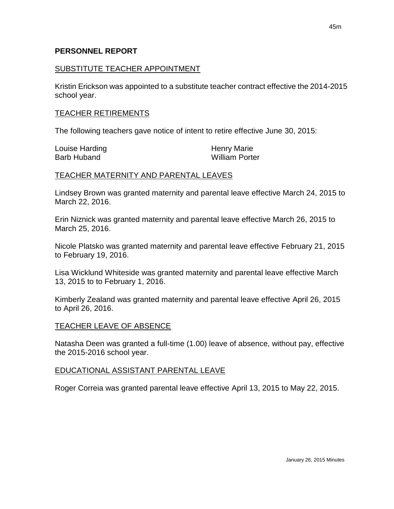#### **PERSONNEL REPORT**

#### SUBSTITUTE TEACHER APPOINTMENT

Kristin Erickson was appointed to a substitute teacher contract effective the 2014-2015 school year.

#### TEACHER RETIREMENTS

The following teachers gave notice of intent to retire effective June 30, 2015:

| Louise Harding     | <b>Henry Marie</b>    |
|--------------------|-----------------------|
| <b>Barb Huband</b> | <b>William Porter</b> |

#### TEACHER MATERNITY AND PARENTAL LEAVES

Lindsey Brown was granted maternity and parental leave effective March 24, 2015 to March 22, 2016.

Erin Niznick was granted maternity and parental leave effective March 26, 2015 to March 25, 2016.

Nicole Platsko was granted maternity and parental leave effective February 21, 2015 to February 19, 2016.

Lisa Wicklund Whiteside was granted maternity and parental leave effective March 13, 2015 to to February 1, 2016.

Kimberly Zealand was granted maternity and parental leave effective April 26, 2015 to April 26, 2016.

## TEACHER LEAVE OF ABSENCE

Natasha Deen was granted a full-time (1.00) leave of absence, without pay, effective the 2015-2016 school year.

#### EDUCATIONAL ASSISTANT PARENTAL LEAVE

Roger Correia was granted parental leave effective April 13, 2015 to May 22, 2015.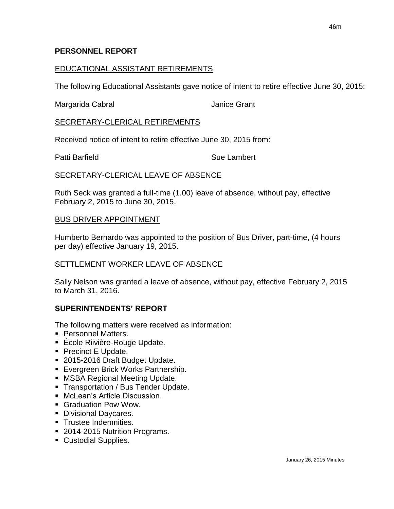#### **PERSONNEL REPORT**

#### EDUCATIONAL ASSISTANT RETIREMENTS

The following Educational Assistants gave notice of intent to retire effective June 30, 2015:

Margarida Cabral **International Cabral According Contract Contract Contract According Contract Contract Contract Contract Contract Contract Contract Contract Contract Contract Contract Contract Contract Contract Contract C** 

## SECRETARY-CLERICAL RETIREMENTS

Received notice of intent to retire effective June 30, 2015 from:

Patti Barfield **Sue Lambert** Sue Lambert

#### SECRETARY-CLERICAL LEAVE OF ABSENCE

Ruth Seck was granted a full-time (1.00) leave of absence, without pay, effective February 2, 2015 to June 30, 2015.

#### BUS DRIVER APPOINTMENT

Humberto Bernardo was appointed to the position of Bus Driver, part-time, (4 hours per day) effective January 19, 2015.

## SETTLEMENT WORKER LEAVE OF ABSENCE

Sally Nelson was granted a leave of absence, without pay, effective February 2, 2015 to March 31, 2016.

## **SUPERINTENDENTS' REPORT**

The following matters were received as information:

- Personnel Matters.
- École Riivière-Rouge Update.
- Precinct E Update.
- 2015-2016 Draft Budget Update.
- **Evergreen Brick Works Partnership.**
- **MSBA Regional Meeting Update.**
- **Transportation / Bus Tender Update.**
- McLean's Article Discussion.
- Graduation Pow Wow.
- **Divisional Daycares.**
- **Trustee Indemnities.**
- 2014-2015 Nutrition Programs.
- **Custodial Supplies.**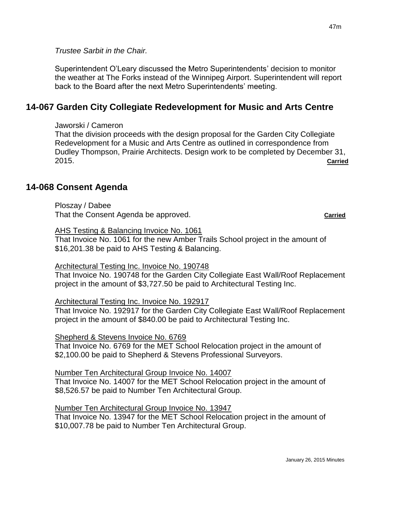*Trustee Sarbit in the Chair.*

Superintendent O'Leary discussed the Metro Superintendents' decision to monitor the weather at The Forks instead of the Winnipeg Airport. Superintendent will report back to the Board after the next Metro Superintendents' meeting.

# **14-067 Garden City Collegiate Redevelopment for Music and Arts Centre**

Jaworski / Cameron

That the division proceeds with the design proposal for the Garden City Collegiate Redevelopment for a Music and Arts Centre as outlined in correspondence from Dudley Thompson, Prairie Architects. Design work to be completed by December 31, 2015. **Carried**

# **14-068 Consent Agenda**

Ploszay / Dabee That the Consent Agenda be approved. **Carried Carried** 

AHS Testing & Balancing Invoice No. 1061

That Invoice No. 1061 for the new Amber Trails School project in the amount of \$16,201.38 be paid to AHS Testing & Balancing.

Architectural Testing Inc. Invoice No. 190748

That Invoice No. 190748 for the Garden City Collegiate East Wall/Roof Replacement project in the amount of \$3,727.50 be paid to Architectural Testing Inc.

## Architectural Testing Inc. Invoice No. 192917

That Invoice No. 192917 for the Garden City Collegiate East Wall/Roof Replacement project in the amount of \$840.00 be paid to Architectural Testing Inc.

#### Shepherd & Stevens Invoice No. 6769

That Invoice No. 6769 for the MET School Relocation project in the amount of \$2,100.00 be paid to Shepherd & Stevens Professional Surveyors.

# Number Ten Architectural Group Invoice No. 14007

That Invoice No. 14007 for the MET School Relocation project in the amount of \$8,526.57 be paid to Number Ten Architectural Group.

## Number Ten Architectural Group Invoice No. 13947

That Invoice No. 13947 for the MET School Relocation project in the amount of \$10,007.78 be paid to Number Ten Architectural Group.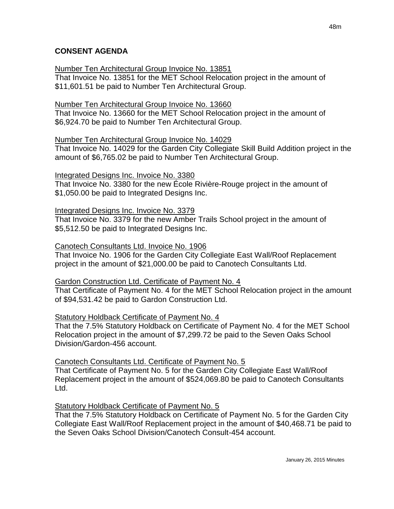## **CONSENT AGENDA**

Number Ten Architectural Group Invoice No. 13851

That Invoice No. 13851 for the MET School Relocation project in the amount of \$11,601.51 be paid to Number Ten Architectural Group.

## Number Ten Architectural Group Invoice No. 13660

That Invoice No. 13660 for the MET School Relocation project in the amount of \$6,924.70 be paid to Number Ten Architectural Group.

## Number Ten Architectural Group Invoice No. 14029

That Invoice No. 14029 for the Garden City Collegiate Skill Build Addition project in the amount of \$6,765.02 be paid to Number Ten Architectural Group.

## Integrated Designs Inc. Invoice No. 3380

That Invoice No. 3380 for the new École Rivière-Rouge project in the amount of \$1,050.00 be paid to Integrated Designs Inc.

## Integrated Designs Inc. Invoice No. 3379

That Invoice No. 3379 for the new Amber Trails School project in the amount of \$5,512.50 be paid to Integrated Designs Inc.

## Canotech Consultants Ltd. Invoice No. 1906

That Invoice No. 1906 for the Garden City Collegiate East Wall/Roof Replacement project in the amount of \$21,000.00 be paid to Canotech Consultants Ltd.

# Gardon Construction Ltd. Certificate of Payment No. 4

That Certificate of Payment No. 4 for the MET School Relocation project in the amount of \$94,531.42 be paid to Gardon Construction Ltd.

## Statutory Holdback Certificate of Payment No. 4

That the 7.5% Statutory Holdback on Certificate of Payment No. 4 for the MET School Relocation project in the amount of \$7,299.72 be paid to the Seven Oaks School Division/Gardon-456 account.

# Canotech Consultants Ltd. Certificate of Payment No. 5

That Certificate of Payment No. 5 for the Garden City Collegiate East Wall/Roof Replacement project in the amount of \$524,069.80 be paid to Canotech Consultants Ltd.

# Statutory Holdback Certificate of Payment No. 5

That the 7.5% Statutory Holdback on Certificate of Payment No. 5 for the Garden City Collegiate East Wall/Roof Replacement project in the amount of \$40,468.71 be paid to the Seven Oaks School Division/Canotech Consult-454 account.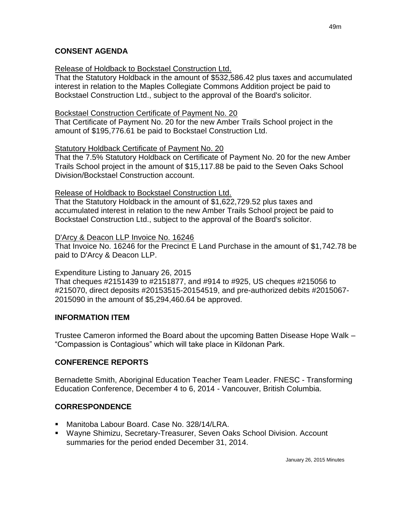## **CONSENT AGENDA**

## Release of Holdback to Bockstael Construction Ltd.

That the Statutory Holdback in the amount of \$532,586.42 plus taxes and accumulated interest in relation to the Maples Collegiate Commons Addition project be paid to Bockstael Construction Ltd., subject to the approval of the Board's solicitor.

## Bockstael Construction Certificate of Payment No. 20

That Certificate of Payment No. 20 for the new Amber Trails School project in the amount of \$195,776.61 be paid to Bockstael Construction Ltd.

#### Statutory Holdback Certificate of Payment No. 20

That the 7.5% Statutory Holdback on Certificate of Payment No. 20 for the new Amber Trails School project in the amount of \$15,117.88 be paid to the Seven Oaks School Division/Bockstael Construction account.

#### Release of Holdback to Bockstael Construction Ltd.

That the Statutory Holdback in the amount of \$1,622,729.52 plus taxes and accumulated interest in relation to the new Amber Trails School project be paid to Bockstael Construction Ltd., subject to the approval of the Board's solicitor.

#### D'Arcy & Deacon LLP Invoice No. 16246

That Invoice No. 16246 for the Precinct E Land Purchase in the amount of \$1,742.78 be paid to D'Arcy & Deacon LLP.

## Expenditure Listing to January 26, 2015

That cheques #2151439 to #2151877, and #914 to #925, US cheques #215056 to #215070, direct deposits #20153515-20154519, and pre-authorized debits #2015067- 2015090 in the amount of \$5,294,460.64 be approved.

## **INFORMATION ITEM**

Trustee Cameron informed the Board about the upcoming Batten Disease Hope Walk – "Compassion is Contagious" which will take place in Kildonan Park.

## **CONFERENCE REPORTS**

Bernadette Smith, Aboriginal Education Teacher Team Leader. FNESC - Transforming Education Conference, December 4 to 6, 2014 - Vancouver, British Columbia.

## **CORRESPONDENCE**

- Manitoba Labour Board. Case No. 328/14/LRA.
- Wayne Shimizu, Secretary-Treasurer, Seven Oaks School Division. Account summaries for the period ended December 31, 2014.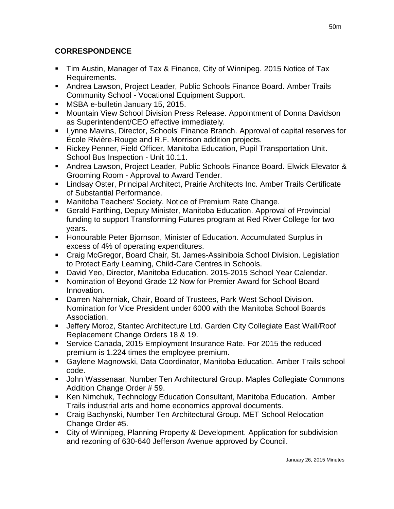# **CORRESPONDENCE**

- Tim Austin, Manager of Tax & Finance, City of Winnipeg. 2015 Notice of Tax Requirements.
- Andrea Lawson, Project Leader, Public Schools Finance Board. Amber Trails Community School - Vocational Equipment Support.
- **MSBA e-bulletin January 15, 2015.**
- **Mountain View School Division Press Release. Appointment of Donna Davidson** as Superintendent/CEO effective immediately.
- Lynne Mavins, Director, Schools' Finance Branch. Approval of capital reserves for École Rivière-Rouge and R.F. Morrison addition projects.
- Rickey Penner, Field Officer, Manitoba Education, Pupil Transportation Unit. School Bus Inspection - Unit 10.11.
- Andrea Lawson, Project Leader, Public Schools Finance Board. Elwick Elevator & Grooming Room - Approval to Award Tender.
- Lindsay Oster, Principal Architect, Prairie Architects Inc. Amber Trails Certificate of Substantial Performance.
- Manitoba Teachers' Society. Notice of Premium Rate Change.
- Gerald Farthing, Deputy Minister, Manitoba Education. Approval of Provincial funding to support Transforming Futures program at Red River College for two years.
- Honourable Peter Bjornson, Minister of Education. Accumulated Surplus in excess of 4% of operating expenditures.
- Craig McGregor, Board Chair, St. James-Assiniboia School Division. Legislation to Protect Early Learning, Child-Care Centres in Schools.
- David Yeo, Director, Manitoba Education. 2015-2015 School Year Calendar.
- Nomination of Beyond Grade 12 Now for Premier Award for School Board Innovation.
- Darren Naherniak, Chair, Board of Trustees, Park West School Division. Nomination for Vice President under 6000 with the Manitoba School Boards Association.
- Jeffery Moroz, Stantec Architecture Ltd. Garden City Collegiate East Wall/Roof Replacement Change Orders 18 & 19.
- Service Canada, 2015 Employment Insurance Rate. For 2015 the reduced premium is 1.224 times the employee premium.
- Gaylene Magnowski, Data Coordinator, Manitoba Education. Amber Trails school code.
- John Wassenaar, Number Ten Architectural Group. Maples Collegiate Commons Addition Change Order # 59.
- Ken Nimchuk, Technology Education Consultant, Manitoba Education. Amber Trails industrial arts and home economics approval documents.
- Craig Bachynski, Number Ten Architectural Group. MET School Relocation Change Order #5.
- City of Winnipeg, Planning Property & Development. Application for subdivision and rezoning of 630-640 Jefferson Avenue approved by Council.